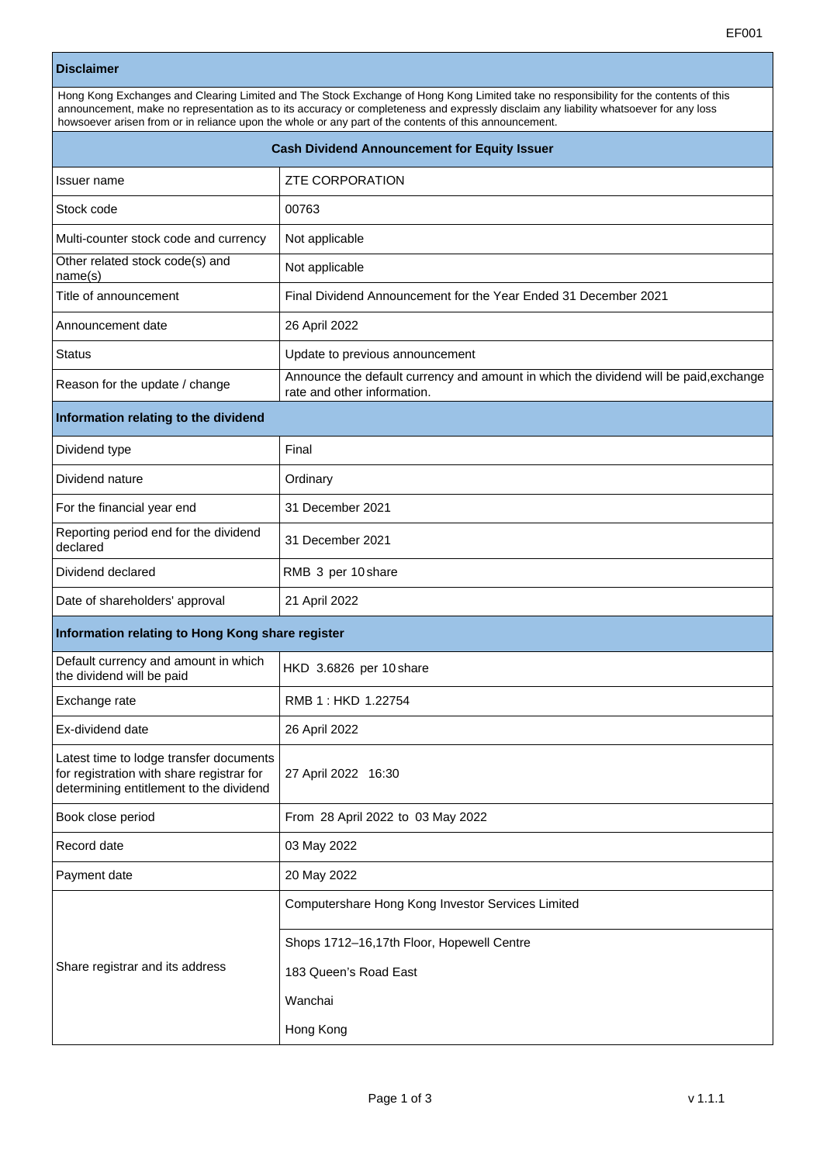## **Disclaimer**

| Hong Kong Exchanges and Clearing Limited and The Stock Exchange of Hong Kong Limited take no responsibility for the contents of this<br>announcement, make no representation as to its accuracy or completeness and expressly disclaim any liability whatsoever for any loss<br>howsoever arisen from or in reliance upon the whole or any part of the contents of this announcement. |                                                                                                                      |  |  |  |
|---------------------------------------------------------------------------------------------------------------------------------------------------------------------------------------------------------------------------------------------------------------------------------------------------------------------------------------------------------------------------------------|----------------------------------------------------------------------------------------------------------------------|--|--|--|
| <b>Cash Dividend Announcement for Equity Issuer</b>                                                                                                                                                                                                                                                                                                                                   |                                                                                                                      |  |  |  |
| Issuer name                                                                                                                                                                                                                                                                                                                                                                           | <b>ZTE CORPORATION</b>                                                                                               |  |  |  |
| Stock code                                                                                                                                                                                                                                                                                                                                                                            | 00763                                                                                                                |  |  |  |
| Multi-counter stock code and currency                                                                                                                                                                                                                                                                                                                                                 | Not applicable                                                                                                       |  |  |  |
| Other related stock code(s) and<br>name(s)                                                                                                                                                                                                                                                                                                                                            | Not applicable                                                                                                       |  |  |  |
| Title of announcement                                                                                                                                                                                                                                                                                                                                                                 | Final Dividend Announcement for the Year Ended 31 December 2021                                                      |  |  |  |
| Announcement date                                                                                                                                                                                                                                                                                                                                                                     | 26 April 2022                                                                                                        |  |  |  |
| <b>Status</b>                                                                                                                                                                                                                                                                                                                                                                         | Update to previous announcement                                                                                      |  |  |  |
| Reason for the update / change                                                                                                                                                                                                                                                                                                                                                        | Announce the default currency and amount in which the dividend will be paid, exchange<br>rate and other information. |  |  |  |
| Information relating to the dividend                                                                                                                                                                                                                                                                                                                                                  |                                                                                                                      |  |  |  |
| Dividend type                                                                                                                                                                                                                                                                                                                                                                         | Final                                                                                                                |  |  |  |
| Dividend nature                                                                                                                                                                                                                                                                                                                                                                       | Ordinary                                                                                                             |  |  |  |
| For the financial year end                                                                                                                                                                                                                                                                                                                                                            | 31 December 2021                                                                                                     |  |  |  |
| Reporting period end for the dividend<br>declared                                                                                                                                                                                                                                                                                                                                     | 31 December 2021                                                                                                     |  |  |  |
| Dividend declared                                                                                                                                                                                                                                                                                                                                                                     | RMB 3 per 10 share                                                                                                   |  |  |  |
| Date of shareholders' approval                                                                                                                                                                                                                                                                                                                                                        | 21 April 2022                                                                                                        |  |  |  |
| Information relating to Hong Kong share register                                                                                                                                                                                                                                                                                                                                      |                                                                                                                      |  |  |  |
| Default currency and amount in which<br>the dividend will be paid                                                                                                                                                                                                                                                                                                                     | HKD 3.6826 per 10 share                                                                                              |  |  |  |
| Exchange rate                                                                                                                                                                                                                                                                                                                                                                         | RMB 1: HKD 1.22754                                                                                                   |  |  |  |
| Ex-dividend date                                                                                                                                                                                                                                                                                                                                                                      | 26 April 2022                                                                                                        |  |  |  |
| Latest time to lodge transfer documents<br>for registration with share registrar for<br>determining entitlement to the dividend                                                                                                                                                                                                                                                       | 27 April 2022 16:30                                                                                                  |  |  |  |
| Book close period                                                                                                                                                                                                                                                                                                                                                                     | From 28 April 2022 to 03 May 2022                                                                                    |  |  |  |
| Record date                                                                                                                                                                                                                                                                                                                                                                           | 03 May 2022                                                                                                          |  |  |  |
| Payment date                                                                                                                                                                                                                                                                                                                                                                          | 20 May 2022                                                                                                          |  |  |  |
| Share registrar and its address                                                                                                                                                                                                                                                                                                                                                       | Computershare Hong Kong Investor Services Limited                                                                    |  |  |  |
|                                                                                                                                                                                                                                                                                                                                                                                       | Shops 1712-16,17th Floor, Hopewell Centre                                                                            |  |  |  |
|                                                                                                                                                                                                                                                                                                                                                                                       | 183 Queen's Road East                                                                                                |  |  |  |
|                                                                                                                                                                                                                                                                                                                                                                                       | Wanchai                                                                                                              |  |  |  |
|                                                                                                                                                                                                                                                                                                                                                                                       | Hong Kong                                                                                                            |  |  |  |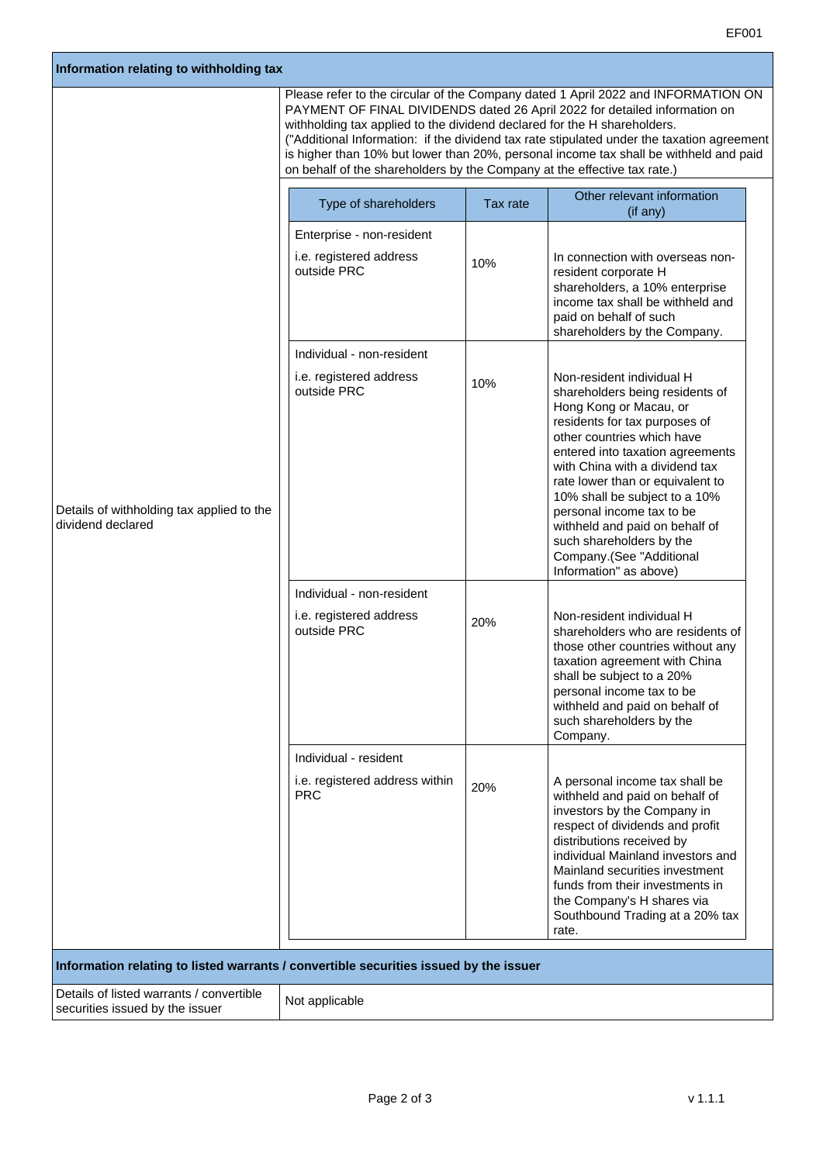| Information relating to withholding tax                                               |                                                                                                                                                                                                                                                                                                                                                                                                                                                                                                                |          |                                                                                                                                                                                                                                                                                                                                                                                                                                                   |  |
|---------------------------------------------------------------------------------------|----------------------------------------------------------------------------------------------------------------------------------------------------------------------------------------------------------------------------------------------------------------------------------------------------------------------------------------------------------------------------------------------------------------------------------------------------------------------------------------------------------------|----------|---------------------------------------------------------------------------------------------------------------------------------------------------------------------------------------------------------------------------------------------------------------------------------------------------------------------------------------------------------------------------------------------------------------------------------------------------|--|
|                                                                                       | Please refer to the circular of the Company dated 1 April 2022 and INFORMATION ON<br>PAYMENT OF FINAL DIVIDENDS dated 26 April 2022 for detailed information on<br>withholding tax applied to the dividend declared for the H shareholders.<br>("Additional Information: if the dividend tax rate stipulated under the taxation agreement<br>is higher than 10% but lower than 20%, personal income tax shall be withheld and paid<br>on behalf of the shareholders by the Company at the effective tax rate.) |          |                                                                                                                                                                                                                                                                                                                                                                                                                                                   |  |
|                                                                                       | Type of shareholders                                                                                                                                                                                                                                                                                                                                                                                                                                                                                           | Tax rate | Other relevant information<br>(if any)                                                                                                                                                                                                                                                                                                                                                                                                            |  |
|                                                                                       | Enterprise - non-resident                                                                                                                                                                                                                                                                                                                                                                                                                                                                                      |          |                                                                                                                                                                                                                                                                                                                                                                                                                                                   |  |
|                                                                                       | i.e. registered address<br>outside PRC                                                                                                                                                                                                                                                                                                                                                                                                                                                                         | 10%      | In connection with overseas non-<br>resident corporate H<br>shareholders, a 10% enterprise<br>income tax shall be withheld and<br>paid on behalf of such<br>shareholders by the Company.                                                                                                                                                                                                                                                          |  |
|                                                                                       | Individual - non-resident                                                                                                                                                                                                                                                                                                                                                                                                                                                                                      |          |                                                                                                                                                                                                                                                                                                                                                                                                                                                   |  |
| Details of withholding tax applied to the<br>dividend declared                        | i.e. registered address<br>outside PRC                                                                                                                                                                                                                                                                                                                                                                                                                                                                         | 10%      | Non-resident individual H<br>shareholders being residents of<br>Hong Kong or Macau, or<br>residents for tax purposes of<br>other countries which have<br>entered into taxation agreements<br>with China with a dividend tax<br>rate lower than or equivalent to<br>10% shall be subject to a 10%<br>personal income tax to be<br>withheld and paid on behalf of<br>such shareholders by the<br>Company.(See "Additional<br>Information" as above) |  |
|                                                                                       | Individual - non-resident                                                                                                                                                                                                                                                                                                                                                                                                                                                                                      |          |                                                                                                                                                                                                                                                                                                                                                                                                                                                   |  |
|                                                                                       | i.e. registered address<br>outside PRC                                                                                                                                                                                                                                                                                                                                                                                                                                                                         | 20%      | Non-resident individual H<br>shareholders who are residents of<br>those other countries without any<br>taxation agreement with China<br>shall be subject to a 20%<br>personal income tax to be<br>withheld and paid on behalf of<br>such shareholders by the<br>Company.                                                                                                                                                                          |  |
|                                                                                       | Individual - resident                                                                                                                                                                                                                                                                                                                                                                                                                                                                                          |          |                                                                                                                                                                                                                                                                                                                                                                                                                                                   |  |
|                                                                                       | i.e. registered address within<br><b>PRC</b>                                                                                                                                                                                                                                                                                                                                                                                                                                                                   | 20%      | A personal income tax shall be<br>withheld and paid on behalf of<br>investors by the Company in<br>respect of dividends and profit<br>distributions received by<br>individual Mainland investors and<br>Mainland securities investment<br>funds from their investments in<br>the Company's H shares via<br>Southbound Trading at a 20% tax<br>rate.                                                                                               |  |
| Information relating to listed warrants / convertible securities issued by the issuer |                                                                                                                                                                                                                                                                                                                                                                                                                                                                                                                |          |                                                                                                                                                                                                                                                                                                                                                                                                                                                   |  |
| Details of listed warrants / convertible<br>securities issued by the issuer           | Not applicable                                                                                                                                                                                                                                                                                                                                                                                                                                                                                                 |          |                                                                                                                                                                                                                                                                                                                                                                                                                                                   |  |